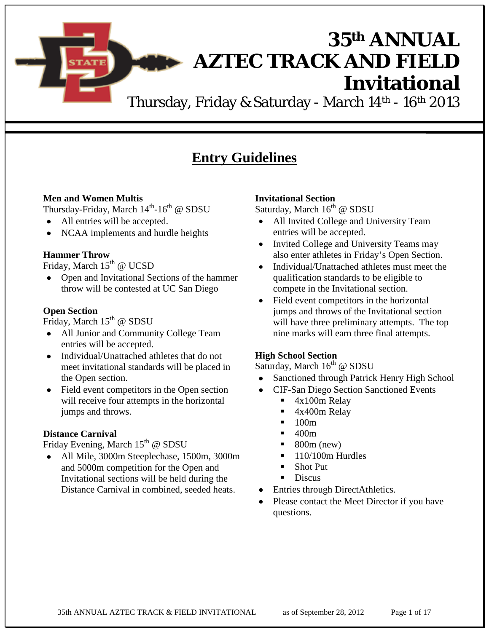**AZTEC TRACK AND FIELD Invitational** 

**35th ANNUAL**

Thursday, Friday & Saturday - March 14<sup>th</sup> - 16<sup>th</sup> 2013

### **Entry Guidelines**

#### **Men and Women Multis**

Thursday-Friday, March 14<sup>th</sup>-16<sup>th</sup> @ SDSU

- All entries will be accepted.
- NCAA implements and hurdle heights

#### **Hammer Throw**

Friday, March  $15^{th}$  @ UCSD

• Open and Invitational Sections of the hammer throw will be contested at UC San Diego

#### **Open Section**

Friday, March  $15<sup>th</sup>$  @ SDSU

- All Junior and Community College Team entries will be accepted.
- Individual/Unattached athletes that do not meet invitational standards will be placed in the Open section.
- Field event competitors in the Open section will receive four attempts in the horizontal jumps and throws.

#### **Distance Carnival**

Friday Evening, March  $15<sup>th</sup>$  @ SDSU

• All Mile, 3000m Steeplechase, 1500m, 3000m and 5000m competition for the Open and Invitational sections will be held during the Distance Carnival in combined, seeded heats.

#### **Invitational Section**

Saturday, March  $16^{th}$  @ SDSU

- All Invited College and University Team entries will be accepted.
- Invited College and University Teams may also enter athletes in Friday's Open Section.
- Individual/Unattached athletes must meet the qualification standards to be eligible to compete in the Invitational section.
- Field event competitors in the horizontal jumps and throws of the Invitational section will have three preliminary attempts. The top nine marks will earn three final attempts.

#### **High School Section**

Saturday, March  $16<sup>th</sup>$  @ SDSU

- Sanctioned through Patrick Henry High School
- CIF-San Diego Section Sanctioned Events
	- 4x100m Relay
	- 4x400m Relay
	- $\blacksquare$  100m
	- 400m
	- 800m (new)
	- $\blacksquare$  110/100m Hurdles
	- Shot Put
	- Discus
- Entries through DirectAthletics.
- Please contact the Meet Director if you have questions.

35th ANNUAL AZTEC TRACK & FIELD INVITATIONAL as of September 28, 2012 Page 1 of 17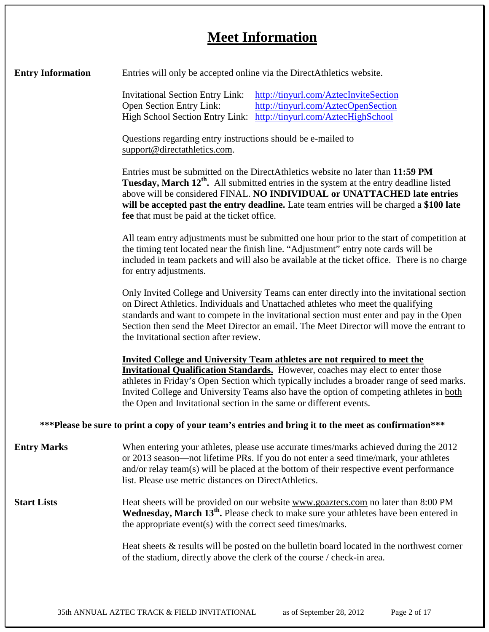## **Meet Information**

| <b>Entry Information</b> | Entries will only be accepted online via the DirectAthletics website.                                                                                                                                                                                                                                                                                                                                                                    |  |  |  |
|--------------------------|------------------------------------------------------------------------------------------------------------------------------------------------------------------------------------------------------------------------------------------------------------------------------------------------------------------------------------------------------------------------------------------------------------------------------------------|--|--|--|
|                          | <b>Invitational Section Entry Link:</b><br>http://tinyurl.com/AztecInviteSection                                                                                                                                                                                                                                                                                                                                                         |  |  |  |
|                          | Open Section Entry Link:<br>http://tinyurl.com/AztecOpenSection                                                                                                                                                                                                                                                                                                                                                                          |  |  |  |
|                          | High School Section Entry Link: http://tinyurl.com/AztecHighSchool                                                                                                                                                                                                                                                                                                                                                                       |  |  |  |
|                          | Questions regarding entry instructions should be e-mailed to<br>support@directathletics.com.                                                                                                                                                                                                                                                                                                                                             |  |  |  |
|                          | Entries must be submitted on the DirectAthletics website no later than 11:59 PM<br>Tuesday, March 12 <sup>th</sup> . All submitted entries in the system at the entry deadline listed<br>above will be considered FINAL. NO INDIVIDUAL or UNATTACHED late entries<br>will be accepted past the entry deadline. Late team entries will be charged a \$100 late<br>fee that must be paid at the ticket office.                             |  |  |  |
|                          | All team entry adjustments must be submitted one hour prior to the start of competition at<br>the timing tent located near the finish line. "Adjustment" entry note cards will be<br>included in team packets and will also be available at the ticket office. There is no charge<br>for entry adjustments.                                                                                                                              |  |  |  |
|                          | Only Invited College and University Teams can enter directly into the invitational section<br>on Direct Athletics. Individuals and Unattached athletes who meet the qualifying<br>standards and want to compete in the invitational section must enter and pay in the Open<br>Section then send the Meet Director an email. The Meet Director will move the entrant to<br>the Invitational section after review.                         |  |  |  |
|                          | <b>Invited College and University Team athletes are not required to meet the</b><br><b>Invitational Qualification Standards.</b> However, coaches may elect to enter those<br>athletes in Friday's Open Section which typically includes a broader range of seed marks.<br>Invited College and University Teams also have the option of competing athletes in both<br>the Open and Invitational section in the same or different events. |  |  |  |
|                          | ***Please be sure to print a copy of your team's entries and bring it to the meet as confirmation***                                                                                                                                                                                                                                                                                                                                     |  |  |  |
| <b>Entry Marks</b>       | When entering your athletes, please use accurate times/marks achieved during the 2012<br>or 2013 season—not lifetime PRs. If you do not enter a seed time/mark, your athletes<br>and/or relay team(s) will be placed at the bottom of their respective event performance<br>list. Please use metric distances on DirectAthletics.                                                                                                        |  |  |  |
| <b>Start Lists</b>       | Heat sheets will be provided on our website www.goaztecs.com no later than 8:00 PM<br>Wednesday, March 13 <sup>th</sup> . Please check to make sure your athletes have been entered in<br>the appropriate event(s) with the correct seed times/marks.                                                                                                                                                                                    |  |  |  |
|                          | Heat sheets $\&$ results will be posted on the bulletin board located in the northwest corner<br>of the stadium, directly above the clerk of the course / check-in area.                                                                                                                                                                                                                                                                 |  |  |  |
|                          |                                                                                                                                                                                                                                                                                                                                                                                                                                          |  |  |  |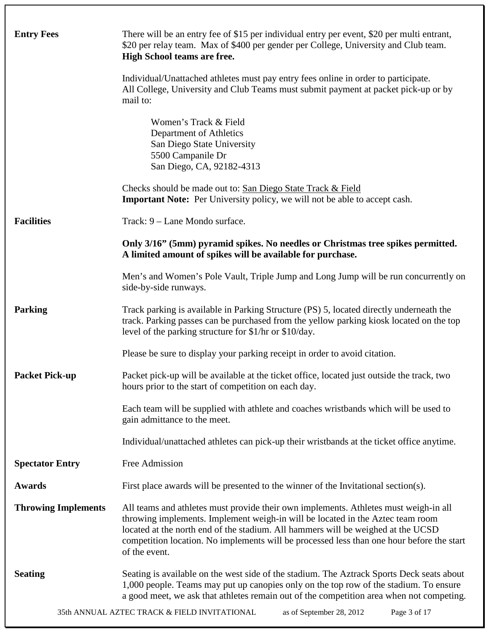| <b>Entry Fees</b>          | There will be an entry fee of \$15 per individual entry per event, \$20 per multi entrant,<br>\$20 per relay team. Max of \$400 per gender per College, University and Club team.<br><b>High School teams are free.</b>                                                                                                                                                  |  |  |
|----------------------------|--------------------------------------------------------------------------------------------------------------------------------------------------------------------------------------------------------------------------------------------------------------------------------------------------------------------------------------------------------------------------|--|--|
|                            | Individual/Unattached athletes must pay entry fees online in order to participate.<br>All College, University and Club Teams must submit payment at packet pick-up or by<br>mail to:                                                                                                                                                                                     |  |  |
|                            | Women's Track & Field<br>Department of Athletics<br>San Diego State University<br>5500 Campanile Dr<br>San Diego, CA, 92182-4313                                                                                                                                                                                                                                         |  |  |
|                            | Checks should be made out to: San Diego State Track & Field<br><b>Important Note:</b> Per University policy, we will not be able to accept cash.                                                                                                                                                                                                                         |  |  |
| <b>Facilities</b>          | Track: 9 – Lane Mondo surface.                                                                                                                                                                                                                                                                                                                                           |  |  |
|                            | Only 3/16" (5mm) pyramid spikes. No needles or Christmas tree spikes permitted.<br>A limited amount of spikes will be available for purchase.                                                                                                                                                                                                                            |  |  |
|                            | Men's and Women's Pole Vault, Triple Jump and Long Jump will be run concurrently on<br>side-by-side runways.                                                                                                                                                                                                                                                             |  |  |
| <b>Parking</b>             | Track parking is available in Parking Structure (PS) 5, located directly underneath the<br>track. Parking passes can be purchased from the yellow parking kiosk located on the top<br>level of the parking structure for \$1/hr or \$10/day.                                                                                                                             |  |  |
|                            | Please be sure to display your parking receipt in order to avoid citation.                                                                                                                                                                                                                                                                                               |  |  |
| <b>Packet Pick-up</b>      | Packet pick-up will be available at the ticket office, located just outside the track, two<br>hours prior to the start of competition on each day.                                                                                                                                                                                                                       |  |  |
|                            | Each team will be supplied with athlete and coaches wristbands which will be used to<br>gain admittance to the meet.                                                                                                                                                                                                                                                     |  |  |
|                            | Individual/unattached athletes can pick-up their wristbands at the ticket office anytime.                                                                                                                                                                                                                                                                                |  |  |
| <b>Spectator Entry</b>     | Free Admission                                                                                                                                                                                                                                                                                                                                                           |  |  |
| <b>Awards</b>              | First place awards will be presented to the winner of the Invitational section(s).                                                                                                                                                                                                                                                                                       |  |  |
| <b>Throwing Implements</b> | All teams and athletes must provide their own implements. Athletes must weigh-in all<br>throwing implements. Implement weigh-in will be located in the Aztec team room<br>located at the north end of the stadium. All hammers will be weighed at the UCSD<br>competition location. No implements will be processed less than one hour before the start<br>of the event. |  |  |
| <b>Seating</b>             | Seating is available on the west side of the stadium. The Aztrack Sports Deck seats about<br>1,000 people. Teams may put up canopies only on the top row of the stadium. To ensure<br>a good meet, we ask that athletes remain out of the competition area when not competing.                                                                                           |  |  |
|                            | 35th ANNUAL AZTEC TRACK & FIELD INVITATIONAL<br>as of September 28, 2012<br>Page 3 of 17                                                                                                                                                                                                                                                                                 |  |  |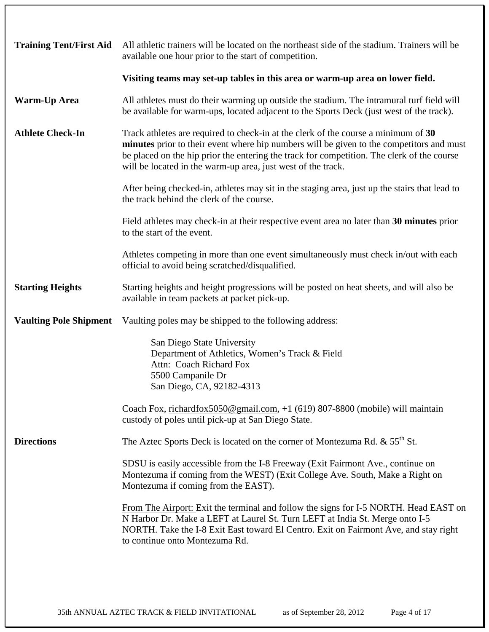| <b>Training Tent/First Aid</b> | All athletic trainers will be located on the northeast side of the stadium. Trainers will be<br>available one hour prior to the start of competition.                                                                                                                                                                                        |  |
|--------------------------------|----------------------------------------------------------------------------------------------------------------------------------------------------------------------------------------------------------------------------------------------------------------------------------------------------------------------------------------------|--|
|                                | Visiting teams may set-up tables in this area or warm-up area on lower field.                                                                                                                                                                                                                                                                |  |
| <b>Warm-Up Area</b>            | All athletes must do their warming up outside the stadium. The intramural turf field will<br>be available for warm-ups, located adjacent to the Sports Deck (just west of the track).                                                                                                                                                        |  |
| <b>Athlete Check-In</b>        | Track athletes are required to check-in at the clerk of the course a minimum of 30<br>minutes prior to their event where hip numbers will be given to the competitors and must<br>be placed on the hip prior the entering the track for competition. The clerk of the course<br>will be located in the warm-up area, just west of the track. |  |
|                                | After being checked-in, athletes may sit in the staging area, just up the stairs that lead to<br>the track behind the clerk of the course.                                                                                                                                                                                                   |  |
|                                | Field athletes may check-in at their respective event area no later than 30 minutes prior<br>to the start of the event.                                                                                                                                                                                                                      |  |
|                                | Athletes competing in more than one event simultaneously must check in/out with each<br>official to avoid being scratched/disqualified.                                                                                                                                                                                                      |  |
| <b>Starting Heights</b>        | Starting heights and height progressions will be posted on heat sheets, and will also be<br>available in team packets at packet pick-up.                                                                                                                                                                                                     |  |
| <b>Vaulting Pole Shipment</b>  | Vaulting poles may be shipped to the following address:                                                                                                                                                                                                                                                                                      |  |
|                                | San Diego State University<br>Department of Athletics, Women's Track & Field<br>Attn: Coach Richard Fox<br>5500 Campanile Dr<br>San Diego, CA, 92182-4313<br>Coach Fox, richardfox5050@gmail.com, +1 (619) 807-8800 (mobile) will maintain<br>custody of poles until pick-up at San Diego State.                                             |  |
| <b>Directions</b>              | The Aztec Sports Deck is located on the corner of Montezuma Rd. $\&$ 55 <sup>th</sup> St.                                                                                                                                                                                                                                                    |  |
|                                | SDSU is easily accessible from the I-8 Freeway (Exit Fairmont Ave., continue on<br>Montezuma if coming from the WEST) (Exit College Ave. South, Make a Right on<br>Montezuma if coming from the EAST).                                                                                                                                       |  |
|                                | From The Airport: Exit the terminal and follow the signs for I-5 NORTH. Head EAST on<br>N Harbor Dr. Make a LEFT at Laurel St. Turn LEFT at India St. Merge onto I-5<br>NORTH. Take the I-8 Exit East toward El Centro. Exit on Fairmont Ave, and stay right<br>to continue onto Montezuma Rd.                                               |  |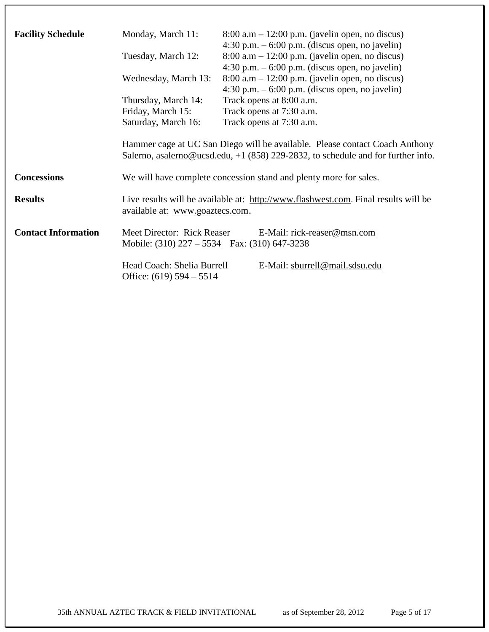| <b>Facility Schedule</b>   | Monday, March 11:<br>Tuesday, March 12:<br>Wednesday, March 13:<br>Thursday, March 14:<br>Friday, March 15:<br>Saturday, March 16: | $8:00$ a.m $-12:00$ p.m. (javelin open, no discus)<br>$4:30$ p.m. $-6:00$ p.m. (discus open, no javelin)<br>$8:00$ a.m $-12:00$ p.m. (javelin open, no discus)<br>$4:30$ p.m. $-6:00$ p.m. (discus open, no javelin)<br>$8:00$ a.m $-12:00$ p.m. (javelin open, no discus)<br>$4:30$ p.m. $-6:00$ p.m. (discus open, no javelin)<br>Track opens at 8:00 a.m.<br>Track opens at 7:30 a.m.<br>Track opens at 7:30 a.m.<br>Hammer cage at UC San Diego will be available. Please contact Coach Anthony<br>Salerno, asalerno@ucsd.edu, +1 (858) 229-2832, to schedule and for further info. |
|----------------------------|------------------------------------------------------------------------------------------------------------------------------------|-----------------------------------------------------------------------------------------------------------------------------------------------------------------------------------------------------------------------------------------------------------------------------------------------------------------------------------------------------------------------------------------------------------------------------------------------------------------------------------------------------------------------------------------------------------------------------------------|
| <b>Concessions</b>         |                                                                                                                                    | We will have complete concession stand and plenty more for sales.                                                                                                                                                                                                                                                                                                                                                                                                                                                                                                                       |
| <b>Results</b>             | Live results will be available at: http://www.flashwest.com. Final results will be<br>available at: www.goaztecs.com.              |                                                                                                                                                                                                                                                                                                                                                                                                                                                                                                                                                                                         |
| <b>Contact Information</b> | Meet Director: Rick Reaser<br>E-Mail: rick-reaser@msn.com<br>Mobile: $(310)$ 227 – 5534 Fax: $(310)$ 647-3238                      |                                                                                                                                                                                                                                                                                                                                                                                                                                                                                                                                                                                         |
|                            | Head Coach: Shelia Burrell<br>Office: $(619)$ 594 – 5514                                                                           | E-Mail: sburrell@mail.sdsu.edu                                                                                                                                                                                                                                                                                                                                                                                                                                                                                                                                                          |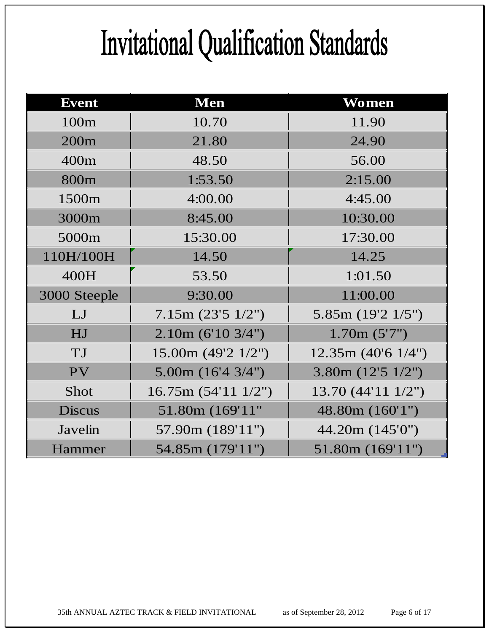## Invitational Qualification Standards

| <b>Event</b>     | <b>Men</b>                  | Women                      |
|------------------|-----------------------------|----------------------------|
| 100m             | 10.70                       | 11.90                      |
| 200 <sub>m</sub> | 21.80                       | 24.90                      |
| 400m             | 48.50                       | 56.00                      |
| 800m             | 1:53.50                     | 2:15.00                    |
| 1500m            | 4:00.00                     | 4:45.00                    |
| 3000m            | 8:45.00                     | 10:30.00                   |
| 5000m            | 15:30.00                    | 17:30.00                   |
| 110H/100H        | 14.50                       | 14.25                      |
| 400H             | 53.50                       | 1:01.50                    |
| 3000 Steeple     | 9:30.00                     | 11:00.00                   |
| LJ               | 7.15m (23'5 1/2'')          | 5.85m (19'2 1/5")          |
| HJ               | 2.10m (6'10 3/4")           | 1.70m(5'7")                |
| TJ               | 15.00m $(49'2 \frac{1}{2})$ | 12.35m(40'61/4")           |
| PV               | 5.00m $(16'4 \frac{3}{4})$  | 3.80m $(12'5 \frac{1}{2})$ |
| Shot             | 16.75m (54'11 1/2")         | 13.70 (44'11 1/2")         |
| <b>Discus</b>    | 51.80m (169'11"             | 48.80m (160'1")            |
| Javelin          | 57.90m (189'11")            | 44.20m (145'0")            |
| Hammer           | 54.85m (179'11")            | 51.80m(169'11")            |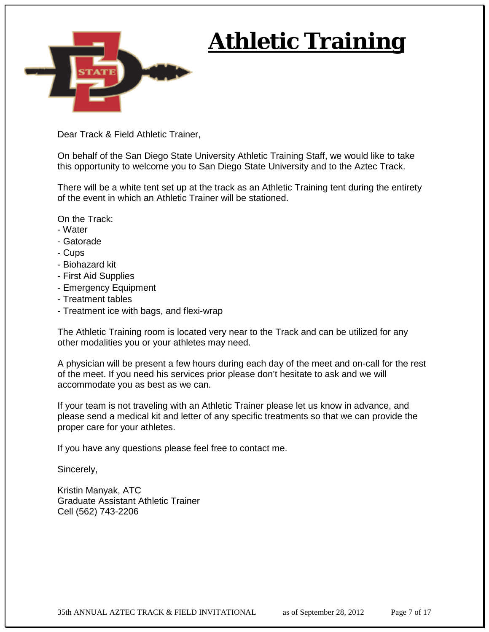

## **Athletic Training**

Dear Track & Field Athletic Trainer,

On behalf of the San Diego State University Athletic Training Staff, we would like to take this opportunity to welcome you to San Diego State University and to the Aztec Track.

There will be a white tent set up at the track as an Athletic Training tent during the entirety of the event in which an Athletic Trainer will be stationed.

On the Track:

- Water
- Gatorade
- Cups
- Biohazard kit
- First Aid Supplies
- Emergency Equipment
- Treatment tables
- Treatment ice with bags, and flexi-wrap

The Athletic Training room is located very near to the Track and can be utilized for any other modalities you or your athletes may need.

A physician will be present a few hours during each day of the meet and on-call for the rest of the meet. If you need his services prior please don't hesitate to ask and we will accommodate you as best as we can.

If your team is not traveling with an Athletic Trainer please let us know in advance, and please send a medical kit and letter of any specific treatments so that we can provide the proper care for your athletes.

If you have any questions please feel free to contact me.

Sincerely,

Kristin Manyak, ATC Graduate Assistant Athletic Trainer Cell (562) 743-2206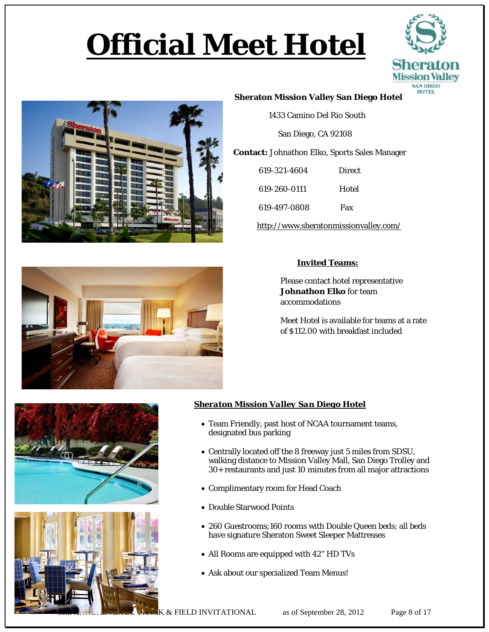## **Official Meet Hotel**





#### **Sheraton Mission Valley San Diego Hotel**

1433 Camino Del Rio South

San Diego, CA 92108

 **Contact:** Johnathon Elko, Sports Sales Manager

| 619-321-4604 | Direct |
|--------------|--------|
| 619-260-0111 | Hotel  |
| 619-497-0808 | Fax    |

<http://www.sheratonmissionvalley.com/>



#### **Invited Teams:**

Please contact hotel representative **Johnathon Elko** for team accommodations

Meet Hotel is available for teams at a rate of \$112.00 with breakfast included





#### *Sheraton Mission Valley San Diego Hotel*

- Team Friendly, past host of NCAA tournament teams, designated bus parking
- Centrally located off the 8 freeway just 5 miles from SDSU, walking distance to Mission Valley Mall, San Diego Trolley and 30+ restaurants and just 10 minutes from all major attractions
- Complimentary room for Head Coach
- Double Starwood Points
- 260 Guestrooms;160 rooms with Double Queen beds; all beds have signature Sheraton Sweet Sleeper Mattresses
- All Rooms are equipped with 42" HD TVs
- Ask about our specialized Team Menus!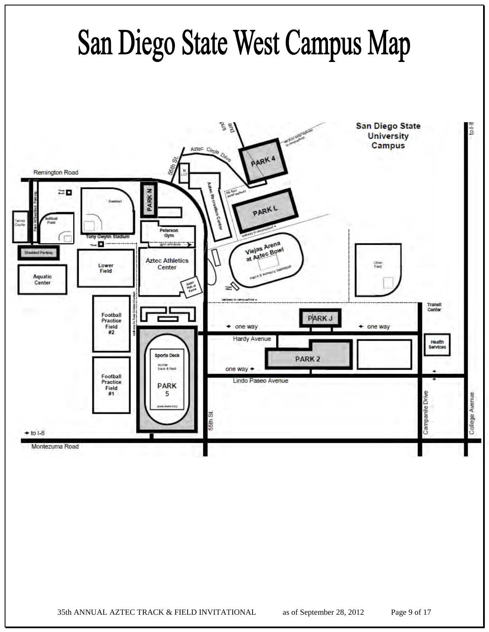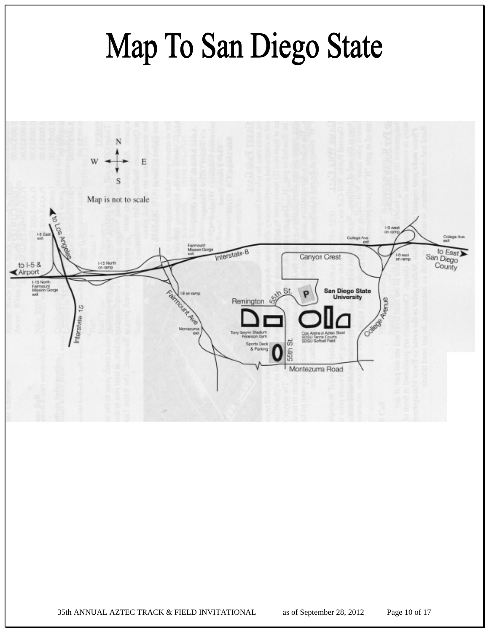

35th ANNUAL AZTEC TRACK & FIELD INVITATIONAL as of September 28, 2012 Page 10 of 17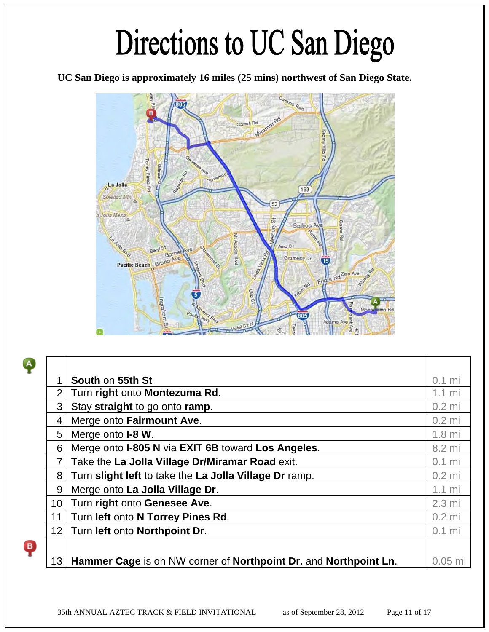## Directions to UC San Diego

**UC San Diego is approximately 16 miles (25 mins) northwest of San Diego State.** 



 $\ddot{\bullet}$ 

 $\ddot{\bullet}$ 

|                 | <b>South on 55th St</b>                                          | $0.1$ mi         |
|-----------------|------------------------------------------------------------------|------------------|
| $\overline{2}$  | Turn right onto Montezuma Rd.                                    | $1.1 \text{ mi}$ |
| 3               | Stay straight to go onto ramp.                                   | $0.2$ mi         |
| 4               | Merge onto Fairmount Ave.                                        | $0.2$ mi         |
| 5               | Merge onto <b>I-8 W</b> .                                        | $1.8$ mi         |
| 6               | Merge onto I-805 N via EXIT 6B toward Los Angeles.               | 8.2 mi           |
| $\overline{7}$  | Take the La Jolla Village Dr/Miramar Road exit.                  | $0.1$ mi         |
| 8               | Turn slight left to take the La Jolla Village Dr ramp.           | $0.2$ mi         |
| 9               | Merge onto La Jolla Village Dr.                                  | $1.1 \text{ mi}$ |
| 10 <sup>°</sup> | Turn right onto Genesee Ave.                                     | $2.3 \text{ mi}$ |
| 11              | Turn left onto N Torrey Pines Rd.                                | $0.2$ mi         |
| 12 <sup>2</sup> | Turn left onto Northpoint Dr.                                    | $0.1$ mi         |
|                 |                                                                  |                  |
| 13 <sup>°</sup> | Hammer Cage is on NW corner of Northpoint Dr. and Northpoint Ln. | $0.05$ m         |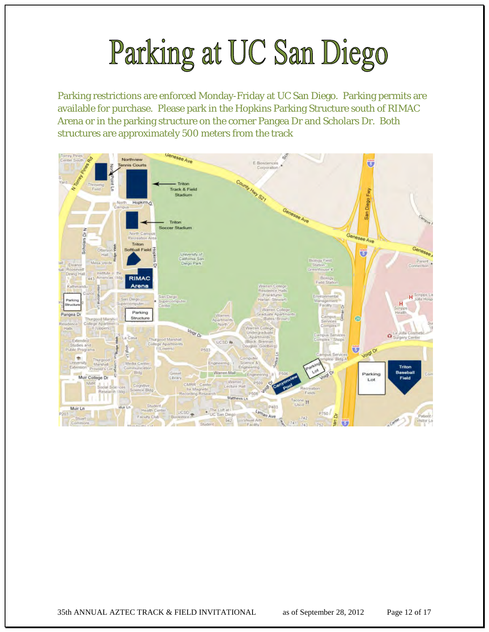## Parking at UC San Diego

Parking restrictions are enforced Monday-Friday at UC San Diego. Parking permits are available for purchase. Please park in the Hopkins Parking Structure south of RIMAC Arena or in the parking structure on the corner Pangea Dr and Scholars Dr. Both structures are approximately 500 meters from the track

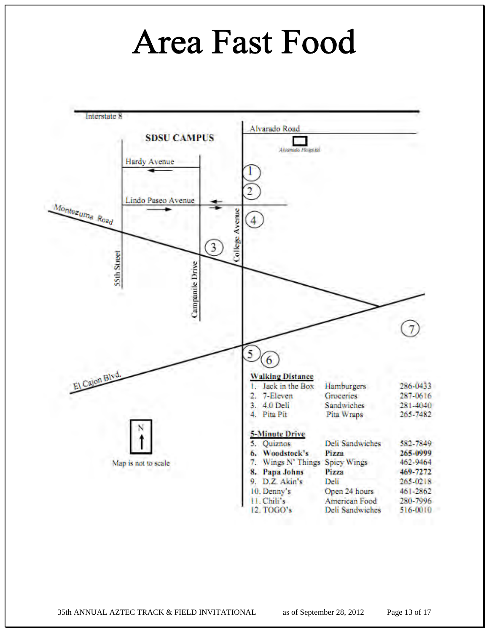## **Area Fast Food**



35th ANNUAL AZTEC TRACK & FIELD INVITATIONAL as of September 28, 2012 Page 13 of 17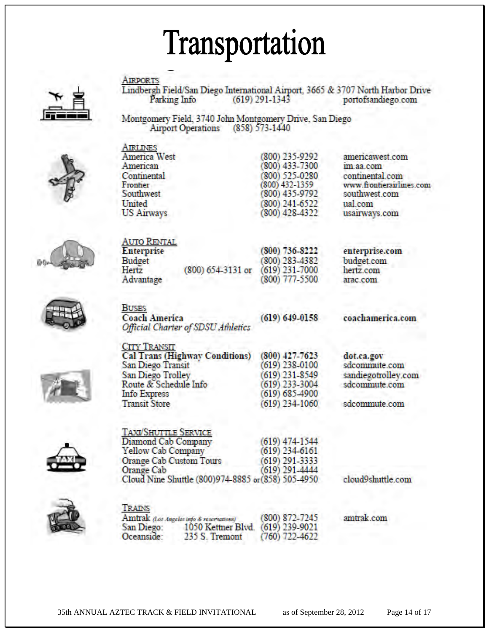## Transportation

**AIRPORTS** 



Lindbergh Field/San Diego International Airport, 3665 & 3707 North Harbor Drive Parking Info  $(619)$  291-1343 portofsandiego.com

Montgomery Field, 3740 John Montgomery Drive, San Diego Airport Operations (858) 573-1440



| <b>AIRLINES</b>   |             |
|-------------------|-------------|
| America West      | $(800)$ $2$ |
| American          | (800)4      |
| Continental       | $(800)$ 5   |
| Frontier          | (800) 43    |
| Southwest         | (800)4      |
| United            | $(800)$ 2   |
| <b>US Airways</b> | $(800)$ 4.  |
|                   |             |
|                   |             |

35.9292 33-7300 25-0280 32-1359 35-9792 41-6522 28-4322

americawest com im aa com continental.com www.frontierairlines.com southwest.com ual com usairways.com



| AUTO RENTAL       |      |
|-------------------|------|
| <b>Interprise</b> |      |
| <b>Sudget</b>     |      |
| lertz             | (800 |
| Advantage         |      |

 $() 654 - 3131$  or

(800) 736-8222 (800) 283-4382<br>(619) 231-7000 (800) 777-5500

enterprise.com budget.com hertz.com arac.com





 $(619) 649 - 0158$ 

coachamerica.com

**CITY TRANSIT Cal Trans (Highway Conditions)** San Diego Transit **San Diego Trolley** Route & Schedule Info **Info Express Transit Store** 

**TAXI/SHUTTLE SERVICE** 

 $(800)$  427-7623  $(619)$  238-0100  $(619)$  231-8549  $(619)$  233-3004 (619) 685-4900  $(619)$  234-1060

dot.ca.gov sdcommute.com sandiegotrolley.com sdcommute.com

sdcommute.com

| Diamond Cab Company                                | $(619)$ 474-1544 |
|----------------------------------------------------|------------------|
| Yellow Cab Company                                 | $(619)$ 234-6161 |
| <b>Orange Cab Custom Tours</b>                     | $(619)$ 291-3333 |
| Orange Cab                                         | $(619)$ 291-4444 |
| Cloud Nine Shuttle (800)974-8885 or (858) 505-4950 |                  |

cloud9shuttle.com

trak.com



| TRAINS     |                                          |                    |    |
|------------|------------------------------------------|--------------------|----|
|            | Amtrak (Los Angeles info & reservations) | $(800) 872 - 7245$ | am |
| San Diego: | 1050 Kettner Blvd. (619) 239-9021        |                    |    |
| Oceanside: | 235 S. Tremont                           | $(760)$ 722-4622   |    |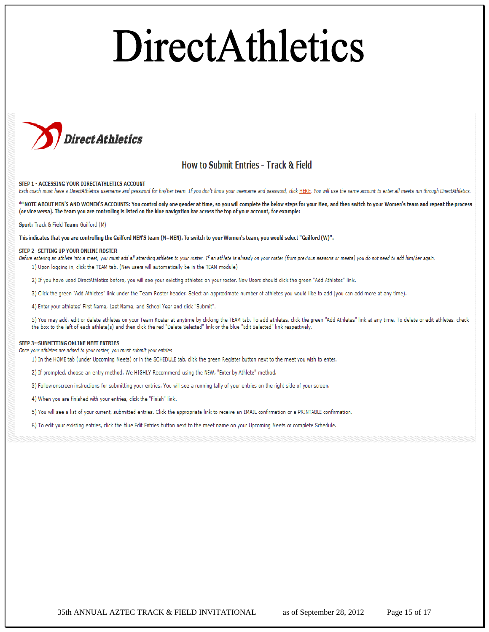# DirectAthletics



#### **How to Submit Entries - Track & Field**

#### STEP 1 - ACCESSING YOUR DIRECTATHLETICS ACCOUNT

Each coach must have a DirectAthletics username and password for his/her team. If you don't know your username and password, click HERE. You will use the same account to enter all meets run through DirectAthletics.

\*\*NOTE ABOUT MEN'S AND WOMEN'S ACCOUNTS: You control only one gender at time, so you will complete the below steps for your Men, and then switch to your Women's team and repeat the process (or vice versa). The team you are controlling is listed on the blue navigation bar across the top of your account, for example:

#### Sport: Track & Field Team: Guilford (M)

This indicates that you are controlling the Guilford MEN'S team (M=MEN). To switch to your Women's team, you would select "Guilford (W)".

#### STEP 2 -- SETTING UP YOUR ONLINE ROSTER

- Before entering an athlete into a meet, you must add all attending athletes to your roster. If an athlete is already on your roster (from previous seasons or meets) you do not need to add him/her again. 1) Upon logging in, click the TEAM tab. (New users will automatically be in the TEAM module)
	- 2) If you have used DirectAthletics before, you will see your existing athletes on your roster. New Users should click the green "Add Athletes" link.
	- 3) Click the green "Add Athletes" link under the Team Roster header. Select an approximate number of athletes you would like to add (you can add more at any time).

4) Enter your athletes' First Name, Last Name, and School Year and click "Submit".

5) You may add, edit or delete athletes on your Team Roster at anytime by clicking the TEAM tab. To add athletes, click the green "Add Athletes" link at any time. To delete or edit athletes, check the box to the left of each athlete(s) and then click the red "Delete Selected" link or the blue "Edit Selected" link respectively.

#### STEP 3 -- SUBMITTING ONLINE MEET ENTRIES

Once your athletes are added to your roster, you must submit your entries.

1) In the HOME tab (under Upcoming Meets) or in the SCHEDULE tab, click the green Register button next to the meet you wish to enter.

- 2) If prompted, choose an entry method. We HIGHLY Recommend using the NEW, "Enter by Athlete" method.
- 3) Follow onscreen instructions for submitting your entries. You will see a running tally of your entries on the right side of your screen.
- 4) When you are finished with your entries, click the "Finish" link.
- 5) You will see a list of your current, submitted entries. Click the appropriate link to receive an EMAIL confirmation or a PRINTABLE confirmation.
- 6) To edit your existing entries, click the blue Edit Entries button next to the meet name on your Upcoming Meets or complete Schedule.

35th ANNUAL AZTEC TRACK & FIELD INVITATIONAL as of September 28, 2012 Page 15 of 17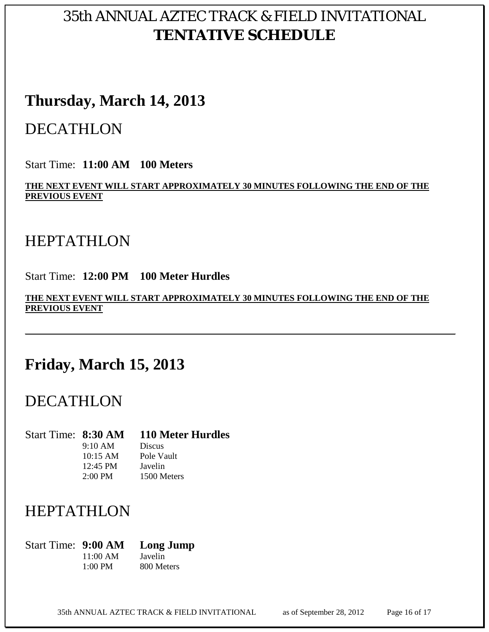### 35th ANNUAL AZTEC TRACK & FIELD INVITATIONAL **TENTATIVE SCHEDULE**

### **Thursday, March 14, 2013**

### DECATHLON

Start Time: **11:00 AM 100 Meters**

**THE NEXT EVENT WILL START APPROXIMATELY 30 MINUTES FOLLOWING THE END OF THE PREVIOUS EVENT**

### **HEPTATHLON**

Start Time: **12:00 PM 100 Meter Hurdles**

**THE NEXT EVENT WILL START APPROXIMATELY 30 MINUTES FOLLOWING THE END OF THE PREVIOUS EVENT** 

## **Friday, March 15, 2013**

### DECATHLON

Start Time: **8:30 AM 110 Meter Hurdles** 9:10 AM Discus 10:15 AM Pole Vault 12:45 PM Javelin 2:00 PM 1500 Meters

## HEPTATHLON

Start Time: **9:00 AM Long Jump** 11:00 AM Javelin 1:00 PM 800 Meters

35th ANNUAL AZTEC TRACK & FIELD INVITATIONAL as of September 28, 2012 Page 16 of 17